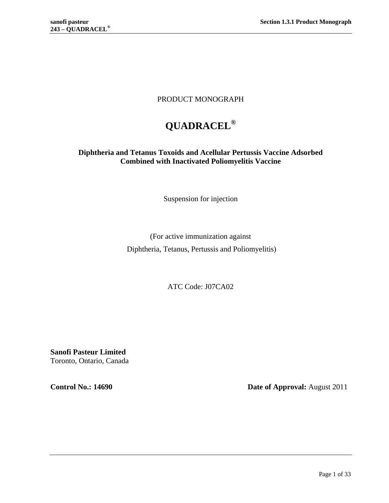# PRODUCT MONOGRAPH

# **QUADRACEL®**

# **Diphtheria and Tetanus Toxoids and Acellular Pertussis Vaccine Adsorbed Combined with Inactivated Poliomyelitis Vaccine**

Suspension for injection

(For active immunization against Diphtheria, Tetanus, Pertussis and Poliomyelitis)

ATC Code: J07CA02

**Sanofi Pasteur Limited** Toronto, Ontario, Canada

**Control No.: 14690 Date of Approval:** August 2011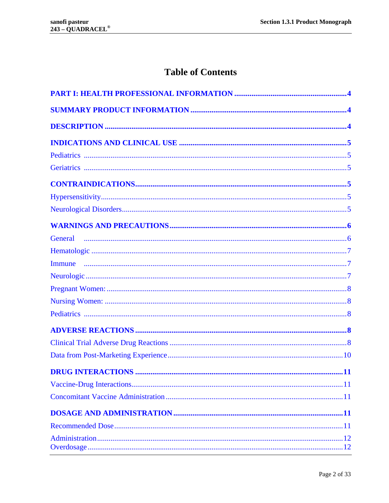# **Table of Contents**

| <b>DRUG INTERACTIONS</b><br>. 11 |
|----------------------------------|
|                                  |
|                                  |
|                                  |
|                                  |
|                                  |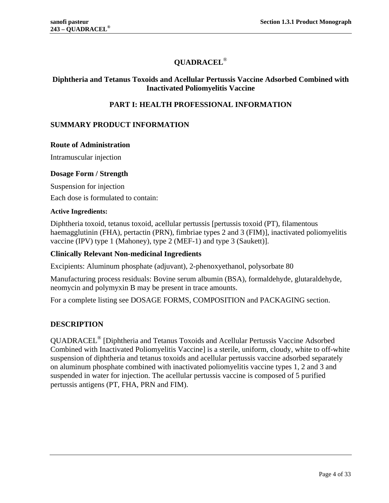# **QUADRACEL**®

### <span id="page-3-0"></span>**Diphtheria and Tetanus Toxoids and Acellular Pertussis Vaccine Adsorbed Combined with Inactivated Poliomyelitis Vaccine**

# **PART I: HEALTH PROFESSIONAL INFORMATION**

### <span id="page-3-1"></span>**SUMMARY PRODUCT INFORMATION**

#### **Route of Administration**

Intramuscular injection

#### **Dosage Form / Strength**

Suspension for injection

Each dose is formulated to contain:

#### **Active Ingredients:**

Diphtheria toxoid, tetanus toxoid, acellular pertussis [pertussis toxoid (PT), filamentous haemagglutinin (FHA), pertactin (PRN), fimbriae types 2 and 3 (FIM)], inactivated poliomyelitis vaccine (IPV) type 1 (Mahoney), type 2 (MEF-1) and type 3 (Saukett)].

#### **Clinically Relevant Non-medicinal Ingredients**

Excipients: Aluminum phosphate (adjuvant), 2-phenoxyethanol, polysorbate 80

Manufacturing process residuals: Bovine serum albumin (BSA), formaldehyde, glutaraldehyde, neomycin and polymyxin B may be present in trace amounts.

<span id="page-3-2"></span>For a complete listing see DOSAGE FORMS, COMPOSITION and PACKAGING section.

# **DESCRIPTION**

QUADRACEL® [Diphtheria and Tetanus Toxoids and Acellular Pertussis Vaccine Adsorbed Combined with Inactivated Poliomyelitis Vaccine] is a sterile, uniform, cloudy, white to off-white suspension of diphtheria and tetanus toxoids and acellular pertussis vaccine adsorbed separately on aluminum phosphate combined with inactivated poliomyelitis vaccine types 1, 2 and 3 and suspended in water for injection. The acellular pertussis vaccine is composed of 5 purified pertussis antigens (PT, FHA, PRN and FIM).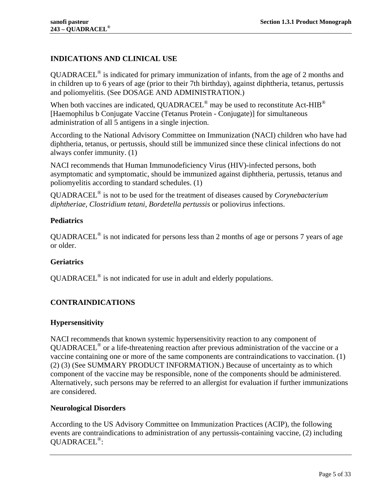# <span id="page-4-0"></span>**INDICATIONS AND CLINICAL USE**

QUADRACEL® is indicated for primary immunization of infants, from the age of 2 months and in children up to 6 years of age (prior to their 7th birthday), against diphtheria, tetanus, pertussis and poliomyelitis. (See [DOSAGE AND ADMINISTRATION.](#page-10-3))

When both vaccines are indicated, QUADRACEL<sup>®</sup> may be used to reconstitute Act-HIB<sup>®</sup> [Haemophilus b Conjugate Vaccine (Tetanus Protein - Conjugate)] for simultaneous administration of all 5 antigens in a single injection.

According to the National Advisory Committee on Immunization (NACI) children who have had diphtheria, tetanus, or pertussis, should still be immunized since these clinical infections do not always confer immunity. [\(1\)](#page-27-1)

NACI recommends that Human Immunodeficiency Virus (HIV)-infected persons, both asymptomatic and symptomatic, should be immunized against diphtheria, pertussis, tetanus and poliomyelitis according to standard schedules. [\(1\)](#page-27-1)

QUADRACEL® is not to be used for the treatment of diseases caused by *Corynebacterium diphtheriae, Clostridium tetani, Bordetella pertussis* or poliovirus infections.

# <span id="page-4-1"></span>**Pediatrics**

 $OUADRACEL<sup>®</sup>$  is not indicated for persons less than 2 months of age or persons 7 years of age or older.

### <span id="page-4-2"></span>**Geriatrics**

<span id="page-4-3"></span>QUADRACEL® is not indicated for use in adult and elderly populations.

# **CONTRAINDICATIONS**

### <span id="page-4-4"></span>**Hypersensitivity**

NACI recommends that known systemic hypersensitivity reaction to any component of QUADRACEL® or a life-threatening reaction after previous administration of the vaccine or a vaccine containing one or more of the same components are contraindications to vaccination. [\(1\)](#page-27-1) [\(2\)](#page-27-2) [\(3\)](#page-27-3) (See [SUMMARY PRODUCT INFORMATION.](#page-3-1)) Because of uncertainty as to which component of the vaccine may be responsible, none of the components should be administered. Alternatively, such persons may be referred to an allergist for evaluation if further immunizations are considered.

### <span id="page-4-5"></span>**Neurological Disorders**

According to the US Advisory Committee on Immunization Practices (ACIP), the following events are contraindications to administration of any pertussis-containing vaccine, [\(2\)](#page-27-2) including QUADRACEL®: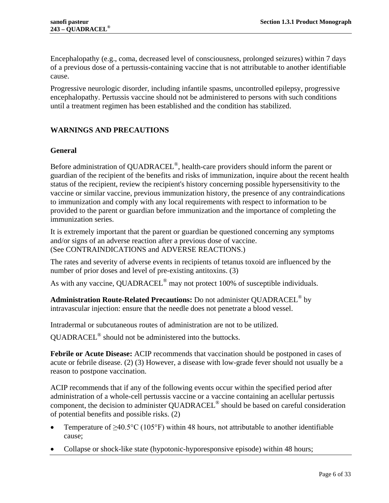Encephalopathy (e.g., coma, decreased level of consciousness, prolonged seizures) within 7 days of a previous dose of a pertussis-containing vaccine that is not attributable to another identifiable cause.

Progressive neurologic disorder, including infantile spasms, uncontrolled epilepsy, progressive encephalopathy. Pertussis vaccine should not be administered to persons with such conditions until a treatment regimen has been established and the condition has stabilized.

### <span id="page-5-0"></span>**WARNINGS AND PRECAUTIONS**

#### <span id="page-5-1"></span>**General**

Before administration of QUADRACEL®, health-care providers should inform the parent or guardian of the recipient of the benefits and risks of immunization, inquire about the recent health status of the recipient, review the recipient's history concerning possible hypersensitivity to the vaccine or similar vaccine, previous immunization history, the presence of any contraindications to immunization and comply with any local requirements with respect to information to be provided to the parent or guardian before immunization and the importance of completing the immunization series.

It is extremely important that the parent or guardian be questioned concerning any symptoms and/or signs of an adverse reaction after a previous dose of vaccine. (See [CONTRAINDICATIONS](#page-4-3) and [ADVERSE REACTIONS.](#page-7-3))

The rates and severity of adverse events in recipients of tetanus toxoid are influenced by the number of prior doses and level of pre-existing antitoxins. [\(3\)](#page-27-3)

As with any vaccine, QUADRACEL<sup>®</sup> may not protect 100% of susceptible individuals.

# **Administration Route-Related Precautions:** Do not administer QUADRACEL® by intravascular injection: ensure that the needle does not penetrate a blood vessel.

Intradermal or subcutaneous routes of administration are not to be utilized.

QUADRACEL® should not be administered into the buttocks.

**Febrile or Acute Disease:** ACIP recommends that vaccination should be postponed in cases of acute or febrile disease. [\(2\)](#page-27-2) [\(3\)](#page-27-3) However, a disease with low-grade fever should not usually be a reason to postpone vaccination.

ACIP recommends that if any of the following events occur within the specified period after administration of a whole-cell pertussis vaccine or a vaccine containing an acellular pertussis component, the decision to administer QUADRACEL® should be based on careful consideration of potential benefits and possible risks. [\(2\)](#page-27-2)

- Temperature of  $\geq 40.5^{\circ}$ C (105°F) within 48 hours, not attributable to another identifiable cause;
- Collapse or shock-like state (hypotonic-hyporesponsive episode) within 48 hours;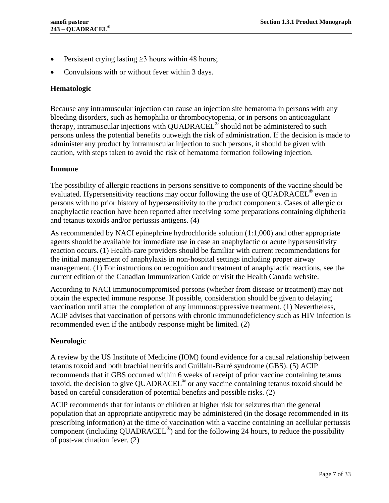- Persistent crying lasting  $\geq$ 3 hours within 48 hours;
- <span id="page-6-0"></span>• Convulsions with or without fever within 3 days.

#### **Hematologic**

Because any intramuscular injection can cause an injection site hematoma in persons with any bleeding disorders, such as hemophilia or thrombocytopenia, or in persons on anticoagulant therapy, intramuscular injections with QUADRACEL<sup>®</sup> should not be administered to such persons unless the potential benefits outweigh the risk of administration. If the decision is made to administer any product by intramuscular injection to such persons, it should be given with caution, with steps taken to avoid the risk of hematoma formation following injection.

#### <span id="page-6-1"></span>**Immune**

The possibility of allergic reactions in persons sensitive to components of the vaccine should be evaluated. Hypersensitivity reactions may occur following the use of QUADRACEL<sup>®</sup> even in persons with no prior history of hypersensitivity to the product components. Cases of allergic or anaphylactic reaction have been reported after receiving some preparations containing diphtheria and tetanus toxoids and/or pertussis antigens. [\(4\)](#page-27-4)

As recommended by NACI epinephrine hydrochloride solution (1:1,000) and other appropriate agents should be available for immediate use in case an anaphylactic or acute hypersensitivity reaction occurs[.\(1\)](#page-27-1) Health-care providers should be familiar with current recommendations for the initial management of anaphylaxis in non-hospital settings including proper airway management. [\(1\)](#page-27-1) For instructions on recognition and treatment of anaphylactic reactions, see the current edition of the Canadian Immunization Guide or visit the Health Canada website.

According to NACI immunocompromised persons (whether from disease or treatment) may not obtain the expected immune response. If possible, consideration should be given to delaying vaccination until after the completion of any immunosuppressive treatment. [\(1\)](#page-27-1) Nevertheless, ACIP advises that vaccination of persons with chronic immunodeficiency such as HIV infection is recommended even if the antibody response might be limited. [\(2\)](#page-27-2)

### <span id="page-6-2"></span>**Neurologic**

A review by the US Institute of Medicine (IOM) found evidence for a causal relationship between tetanus toxoid and both brachial neuritis and Guillain-Barré syndrome (GBS). [\(5\)](#page-27-5) ACIP recommends that if GBS occurred within 6 weeks of receipt of prior vaccine containing tetanus toxoid, the decision to give QUADRACEL<sup>®</sup> or any vaccine containing tetanus toxoid should be based on careful consideration of potential benefits and possible risks. [\(2\)](#page-27-2)

ACIP recommends that for infants or children at higher risk for seizures than the general population that an appropriate antipyretic may be administered (in the dosage recommended in its prescribing information) at the time of vaccination with a vaccine containing an acellular pertussis component (including  $QUADRACEL<sup>®</sup>$ ) and for the following 24 hours, to reduce the possibility of post-vaccination fever. [\(2\)](#page-27-2)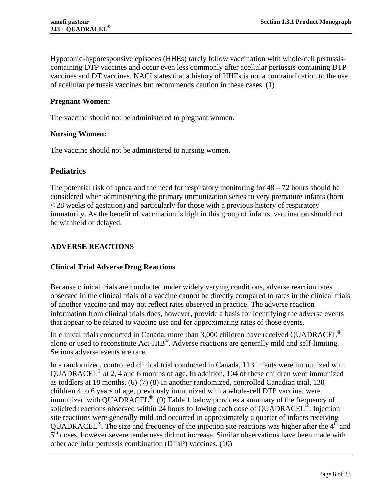Hypotonic-hyporesponsive episodes (HHEs) rarely follow vaccination with whole-cell pertussiscontaining DTP vaccines and occur even less commonly after acellular pertussis-containing DTP vaccines and DT vaccines. NACI states that a history of HHEs is not a contraindication to the use of acellular pertussis vaccines but recommends caution in these cases. [\(1\)](#page-27-1)

### <span id="page-7-0"></span>**Pregnant Women:**

<span id="page-7-1"></span>The vaccine should not be administered to pregnant women.

#### **Nursing Women:**

<span id="page-7-2"></span>The vaccine should not be administered to nursing women.

### **Pediatrics**

The potential risk of apnea and the need for respiratory monitoring for  $48 - 72$  hours should be considered when administering the primary immunization series to very premature infants (born  $\leq$  28 weeks of gestation) and particularly for those with a previous history of respiratory immaturity. As the benefit of vaccination is high in this group of infants, vaccination should not be withheld or delayed.

### <span id="page-7-3"></span>**ADVERSE REACTIONS**

### <span id="page-7-4"></span>**Clinical Trial Adverse Drug Reactions**

Because clinical trials are conducted under widely varying conditions, adverse reaction rates observed in the clinical trials of a vaccine cannot be directly compared to rates in the clinical trials of another vaccine and may not reflect rates observed in practice. The adverse reaction information from clinical trials does, however, provide a basis for identifying the adverse events that appear to be related to vaccine use and for approximating rates of those events.

In clinical trials conducted in Canada, more than  $3,000$  children have received QUADRACEL<sup>®</sup> alone or used to reconstitute Act-HIB<sup>®</sup>. Adverse reactions are generally mild and self-limiting. Serious adverse events are rare.

In a randomized, controlled clinical trial conducted in Canada, 113 infants were immunized with QUADRACEL® at 2, 4 and 6 months of age. In addition, 104 of these children were immunized as toddlers at 18 months. [\(6\)](#page-27-6) [\(7\)](#page-27-7) [\(8\)](#page-27-8) In another randomized, controlled Canadian trial, 130 children 4 to 6 years of age, previously immunized with a whole-cell DTP vaccine, were immunized with QUADRACEL®. [\(9\)](#page-27-9) [Table 1](#page-8-0) below provides a summary of the frequency of solicited reactions observed within 24 hours following each dose of QUADRACEL<sup>®</sup>. Injection site reactions were generally mild and occurred in approximately a quarter of infants receiving QUADRACEL<sup>®</sup>. The size and frequency of the injection site reactions was higher after the  $4<sup>th</sup>$  and 5<sup>th</sup> doses, however severe tenderness did not increase. Similar observations have been made with other acellular pertussis combination (DTaP) vaccines. [\(10\)](#page-27-10)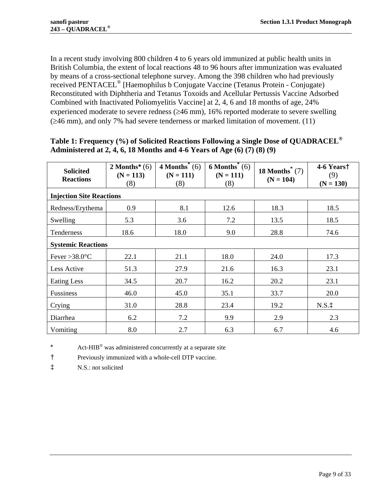In a recent study involving 800 children 4 to 6 years old immunized at public health units in British Columbia, the extent of local reactions 48 to 96 hours after immunization was evaluated by means of a cross-sectional telephone survey. Among the 398 children who had previously received PENTACEL® [Haemophilus b Conjugate Vaccine (Tetanus Protein - Conjugate) Reconstituted with Diphtheria and Tetanus Toxoids and Acellular Pertussis Vaccine Adsorbed Combined with Inactivated Poliomyelitis Vaccine] at 2, 4, 6 and 18 months of age, 24% experienced moderate to severe redness  $(\geq 46 \text{ mm})$ , 16% reported moderate to severe swelling  $(\geq 46$  mm), and only 7% had severe tenderness or marked limitation of movement. [\(11\)](#page-27-11)

| <b>Solicited</b><br><b>Reactions</b> | 2 Months* $(6)$<br>$(N = 113)$<br>(8) | $4$ Months <sup>*</sup> (6)<br>$(N = 111)$<br>(8) | $6$ Months <sup>*</sup> (6)<br>$(N = 111)$<br>(8) | 18 Months $(7)$<br>$(N = 104)$ | 4-6 Yearst<br>(9)<br>$(N = 130)$ |
|--------------------------------------|---------------------------------------|---------------------------------------------------|---------------------------------------------------|--------------------------------|----------------------------------|
| <b>Injection Site Reactions</b>      |                                       |                                                   |                                                   |                                |                                  |
| Redness/Erythema                     | 0.9                                   | 8.1                                               | 12.6                                              | 18.3                           | 18.5                             |
| Swelling                             | 5.3                                   | 3.6                                               | 7.2                                               | 13.5                           | 18.5                             |
| Tenderness                           | 18.6                                  | 18.0                                              | 9.0                                               | 28.8                           | 74.6                             |
| <b>Systemic Reactions</b>            |                                       |                                                   |                                                   |                                |                                  |
| Fever > 38.0 $\degree$ C             | 22.1                                  | 21.1                                              | 18.0                                              | 24.0                           | 17.3                             |
| Less Active                          | 51.3                                  | 27.9                                              | 21.6                                              | 16.3                           | 23.1                             |
| Eating Less                          | 34.5                                  | 20.7                                              | 16.2                                              | 20.2                           | 23.1                             |
| <b>Fussiness</b>                     | 46.0                                  | 45.0                                              | 35.1                                              | 33.7                           | 20.0                             |
| Crying                               | 31.0                                  | 28.8                                              | 23.4                                              | 19.2                           | $N.S.$ ‡                         |
| Diarrhea                             | 6.2                                   | 7.2                                               | 9.9                                               | 2.9                            | 2.3                              |
| Vomiting                             | 8.0                                   | 2.7                                               | 6.3                                               | 6.7                            | 4.6                              |

### <span id="page-8-0"></span>**Table 1: Frequency (%) of Solicited Reactions Following a Single Dose of QUADRACEL® Administered at 2, 4, 6, 18 Months and 4-6 Years of Age [\(6\)](#page-27-6) [\(7\)](#page-27-7) [\(8\)](#page-27-8) [\(9\)](#page-27-9)**

<span id="page-8-1"></span>\* Act-HIB® was administered concurrently at a separate site

† Previously immunized with a whole-cell DTP vaccine.

‡ N.S.: not solicited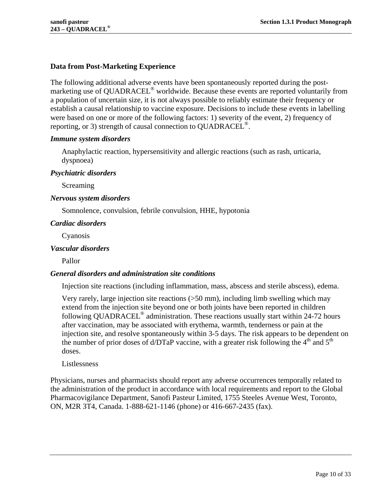### <span id="page-9-0"></span>**Data from Post-Marketing Experience**

The following additional adverse events have been spontaneously reported during the postmarketing use of QUADRACEL® worldwide. Because these events are reported voluntarily from a population of uncertain size, it is not always possible to reliably estimate their frequency or establish a causal relationship to vaccine exposure. Decisions to include these events in labelling were based on one or more of the following factors: 1) severity of the event, 2) frequency of reporting, or 3) strength of causal connection to QUADRACEL<sup>®</sup>.

### *Immune system disorders*

Anaphylactic reaction, hypersensitivity and allergic reactions (such as rash, urticaria, dyspnoea)

#### *Psychiatric disorders*

Screaming

#### *Nervous system disorders*

Somnolence, convulsion, febrile convulsion, HHE, hypotonia

### *Cardiac disorders*

Cyanosis

#### *Vascular disorders*

Pallor

### *General disorders and administration site conditions*

Injection site reactions (including inflammation, mass, abscess and sterile abscess), edema.

Very rarely, large injection site reactions (>50 mm), including limb swelling which may extend from the injection site beyond one or both joints have been reported in children following QUADRACEL® administration. These reactions usually start within 24-72 hours after vaccination, may be associated with erythema, warmth, tenderness or pain at the injection site, and resolve spontaneously within 3-5 days. The risk appears to be dependent on the number of prior doses of d/DTaP vaccine, with a greater risk following the  $4<sup>th</sup>$  and  $5<sup>th</sup>$ doses.

Listlessness

Physicians, nurses and pharmacists should report any adverse occurrences temporally related to the administration of the product in accordance with local requirements and report to the Global Pharmacovigilance Department, Sanofi Pasteur Limited, 1755 Steeles Avenue West, Toronto, ON, M2R 3T4, Canada. 1-888-621-1146 (phone) or 416-667-2435 (fax).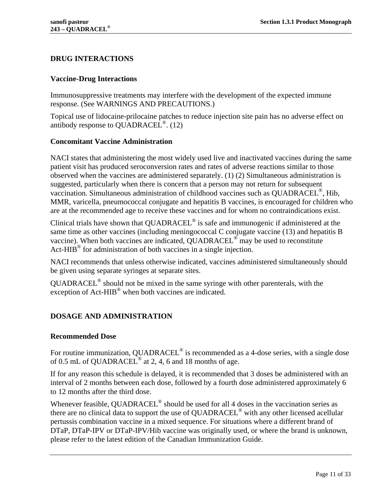# <span id="page-10-0"></span>**DRUG INTERACTIONS**

### <span id="page-10-1"></span>**Vaccine-Drug Interactions**

Immunosuppressive treatments may interfere with the development of the expected immune response. (See [WARNINGS AND PRECAUTIONS.](#page-5-0))

Topical use of lidocaine-prilocaine patches to reduce injection site pain has no adverse effect on antibody response to QUADRACEL<sup>®</sup>.  $(12)$ 

### <span id="page-10-2"></span>**Concomitant Vaccine Administration**

NACI states that administering the most widely used live and inactivated vaccines during the same patient visit has produced seroconversion rates and rates of adverse reactions similar to those observed when the vaccines are administered separately. [\(1\)](#page-27-1) [\(2\)](#page-27-2) Simultaneous administration is suggested, particularly when there is concern that a person may not return for subsequent vaccination. Simultaneous administration of childhood vaccines such as QUADRACEL<sup>®</sup>, Hib, MMR, varicella, pneumococcal conjugate and hepatitis B vaccines, is encouraged for children who are at the recommended age to receive these vaccines and for whom no contraindications exist.

Clinical trials have shown that QUADRACEL® is safe and immunogenic if administered at the same time as other vaccines (including meningococcal C conjugate vaccine [\(13\)](#page-27-13) and hepatitis B vaccine). When both vaccines are indicated, QUADRACEL<sup>®</sup> may be used to reconstitute Act-HIB $^{\circ}$  for administration of both vaccines in a single injection.

NACI recommends that unless otherwise indicated, vaccines administered simultaneously should be given using separate syringes at separate sites.

QUADRACEL® should not be mixed in the same syringe with other parenterals, with the exception of Act-HIB<sup>®</sup> when both vaccines are indicated.

# <span id="page-10-3"></span>**DOSAGE AND ADMINISTRATION**

### <span id="page-10-4"></span>**Recommended Dose**

For routine immunization, QUADRACEL<sup>®</sup> is recommended as a 4-dose series, with a single dose of 0.5 mL of QUADRACEL<sup>®</sup> at 2, 4, 6 and 18 months of age.

If for any reason this schedule is delayed, it is recommended that 3 doses be administered with an interval of 2 months between each dose, followed by a fourth dose administered approximately 6 to 12 months after the third dose.

Whenever feasible, QUADRACEL<sup>®</sup> should be used for all 4 doses in the vaccination series as there are no clinical data to support the use of QUADRACEL® with any other licensed acellular pertussis combination vaccine in a mixed sequence. For situations where a different brand of DTaP, DTaP-IPV or DTaP-IPV/Hib vaccine was originally used, or where the brand is unknown, please refer to the latest edition of the Canadian Immunization Guide.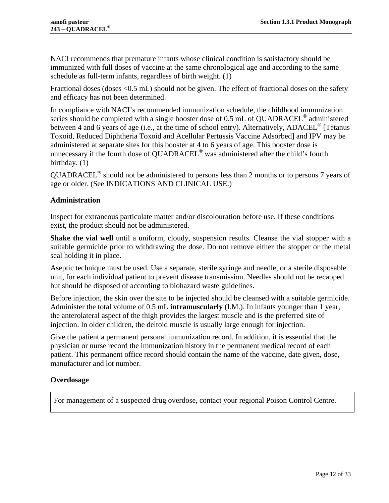NACI recommends that premature infants whose clinical condition is satisfactory should be immunized with full doses of vaccine at the same chronological age and according to the same schedule as full-term infants, regardless of birth weight. [\(1\)](#page-27-1)

Fractional doses (doses <0.5 mL) should not be given. The effect of fractional doses on the safety and efficacy has not been determined.

In compliance with NACI's recommended immunization schedule, the childhood immunization series should be completed with a single booster dose of 0.5 mL of QUADRACEL® administered between 4 and 6 years of age (i.e., at the time of school entry). Alternatively, ADACEL<sup>®</sup> [Tetanus Toxoid, Reduced Diphtheria Toxoid and Acellular Pertussis Vaccine Adsorbed] and IPV may be administered at separate sites for this booster at 4 to 6 years of age. This booster dose is unnecessary if the fourth dose of QUADRACEL<sup>®</sup> was administered after the child's fourth birthday. [\(1\)](#page-27-1)

QUADRACEL<sup>®</sup> should not be administered to persons less than 2 months or to persons 7 years of age or older. (See [INDICATIONS AND CLINICAL USE.](#page-4-0))

# <span id="page-11-0"></span>**Administration**

Inspect for extraneous particulate matter and/or discolouration before use. If these conditions exist, the product should not be administered.

**Shake the vial well** until a uniform, cloudy, suspension results. Cleanse the vial stopper with a suitable germicide prior to withdrawing the dose. Do not remove either the stopper or the metal seal holding it in place.

Aseptic technique must be used. Use a separate, sterile syringe and needle, or a sterile disposable unit, for each individual patient to prevent disease transmission. Needles should not be recapped but should be disposed of according to biohazard waste guidelines.

Before injection, the skin over the site to be injected should be cleansed with a suitable germicide. Administer the total volume of 0.5 mL **intramuscularly** (I.M.). In infants younger than 1 year, the anterolateral aspect of the thigh provides the largest muscle and is the preferred site of injection. In older children, the deltoid muscle is usually large enough for injection.

Give the patient a permanent personal immunization record. In addition, it is essential that the physician or nurse record the immunization history in the permanent medical record of each patient. This permanent office record should contain the name of the vaccine, date given, dose, manufacturer and lot number.

### <span id="page-11-1"></span>**Overdosage**

For management of a suspected drug overdose, contact your regional Poison Control Centre.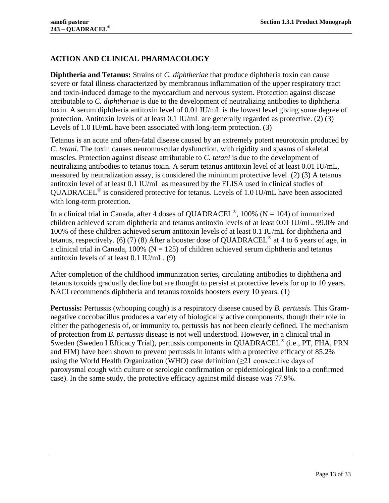# <span id="page-12-0"></span>**ACTION AND CLINICAL PHARMACOLOGY**

**Diphtheria and Tetanus:** Strains of *C. diphtheriae* that produce diphtheria toxin can cause severe or fatal illness characterized by membranous inflammation of the upper respiratory tract and toxin-induced damage to the myocardium and nervous system. Protection against disease attributable to *C. diphtheriae* is due to the development of neutralizing antibodies to diphtheria toxin. A serum diphtheria antitoxin level of 0.01 IU/mL is the lowest level giving some degree of protection. Antitoxin levels of at least 0.1 IU/mL are generally regarded as protective. [\(2\)](#page-27-2) [\(3\)](#page-27-3) Levels of 1.0 IU/mL have been associated with long-term protection. [\(3\)](#page-27-3)

Tetanus is an acute and often-fatal disease caused by an extremely potent neurotoxin produced by *C. tetani*. The toxin causes neuromuscular dysfunction, with rigidity and spasms of skeletal muscles. Protection against disease attributable to *C. tetani* is due to the development of neutralizing antibodies to tetanus toxin. A serum tetanus antitoxin level of at least 0.01 IU/mL, measured by neutralization assay, is considered the minimum protective level. [\(2\)](#page-27-2) [\(3\)](#page-27-3) A tetanus antitoxin level of at least 0.1 IU/mL as measured by the ELISA used in clinical studies of QUADRACEL® is considered protective for tetanus. Levels of 1.0 IU/mL have been associated with long-term protection.

In a clinical trial in Canada, after 4 doses of QUADRACEL<sup>®</sup>, 100% (N = 104) of immunized children achieved serum diphtheria and tetanus antitoxin levels of at least 0.01 IU/mL. 99.0% and 100% of these children achieved serum antitoxin levels of at least 0.1 IU/mL for diphtheria and tetanus, respectively. [\(6\)](#page-27-6) [\(7\)](#page-27-7) [\(8\)](#page-27-8) After a booster dose of QUADRACEL® at 4 to 6 years of age, in a clinical trial in Canada, 100% ( $N = 125$ ) of children achieved serum diphtheria and tetanus antitoxin levels of at least 0.1 IU/mL. [\(9\)](#page-27-9)

After completion of the childhood immunization series, circulating antibodies to diphtheria and tetanus toxoids gradually decline but are thought to persist at protective levels for up to 10 years. NACI recommends diphtheria and tetanus toxoids boosters every 10 years. [\(1\)](#page-27-1)

**Pertussis:** Pertussis (whooping cough) is a respiratory disease caused by *B. pertussis*. This Gramnegative coccobacillus produces a variety of biologically active components, though their role in either the pathogenesis of, or immunity to, pertussis has not been clearly defined. The mechanism of protection from *B. pertussis* disease is not well understood. However, in a clinical trial in Sweden (Sweden I Efficacy Trial), pertussis components in QUADRACEL® (i.e., PT, FHA, PRN and FIM) have been shown to prevent pertussis in infants with a protective efficacy of 85.2% using the World Health Organization (WHO) case definition ( $\geq 21$  consecutive days of paroxysmal cough with culture or serologic confirmation or epidemiological link to a confirmed case). In the same study, the protective efficacy against mild disease was 77.9%.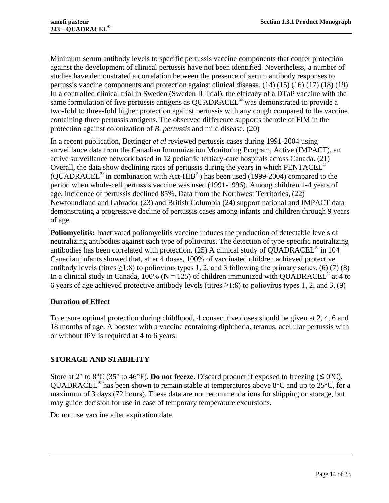Minimum serum antibody levels to specific pertussis vaccine components that confer protection against the development of clinical pertussis have not been identified. Nevertheless, a number of studies have demonstrated a correlation between the presence of serum antibody responses to pertussis vaccine components and protection against clinical disease. [\(14\)](#page-27-14) [\(15\)](#page-28-0) [\(16\)](#page-28-1) [\(17\)](#page-28-2) [\(18\)](#page-28-3) [\(19\)](#page-28-4) In a controlled clinical trial in Sweden (Sweden II Trial), the efficacy of a DTaP vaccine with the same formulation of five pertussis antigens as QUADRACEL<sup>®</sup> was demonstrated to provide a two-fold to three-fold higher protection against pertussis with any cough compared to the vaccine containing three pertussis antigens. The observed difference supports the role of FIM in the protection against colonization of *B. pertussis* and mild disease. [\(20\)](#page-28-5)

In a recent publication, Bettinger *et al* reviewed pertussis cases during 1991-2004 using surveillance data from the Canadian Immunization Monitoring Program, Active (IMPACT), an active surveillance network based in 12 pediatric tertiary-care hospitals across Canada. [\(21\)](#page-28-6) Overall, the data show declining rates of pertussis during the years in which  $PENTACLE^{\circledcirc}$ (QUADRACEL® in combination with Act-HIB®) has been used (1999-2004) compared to the period when whole-cell pertussis vaccine was used (1991-1996). Among children 1-4 years of age, incidence of pertussis declined 85%. Data from the Northwest Territories, [\(22\)](#page-28-7) Newfoundland and Labrador [\(23\)](#page-28-8) and British Columbia [\(24\)](#page-28-9) support national and IMPACT data demonstrating a progressive decline of pertussis cases among infants and children through 9 years of age.

**Poliomyelitis:** Inactivated poliomyelitis vaccine induces the production of detectable levels of neutralizing antibodies against each type of poliovirus. The detection of type-specific neutralizing antibodies has been correlated with protection. [\(25\)](#page-28-10) A clinical study of QUADRACEL<sup>®</sup> in 104 Canadian infants showed that, after 4 doses, 100% of vaccinated children achieved protective antibody levels (titres  $\geq$ 1:8) to poliovirus types 1, 2, and 3 following the primary series. [\(6\)](#page-27-6) [\(7\)](#page-27-7) [\(8\)](#page-27-8) In a clinical study in Canada, 100% ( $N = 125$ ) of children immunized with QUADRACEL<sup>®</sup> at 4 to 6 years of age achieved protective antibody levels (titres  $\geq$ 1:8) to poliovirus types 1, 2, and 3. [\(9\)](#page-27-9)

# <span id="page-13-0"></span>**Duration of Effect**

To ensure optimal protection during childhood, 4 consecutive doses should be given at 2, 4, 6 and 18 months of age. A booster with a vaccine containing diphtheria, tetanus, acellular pertussis with or without IPV is required at 4 to 6 years.

# <span id="page-13-1"></span>**STORAGE AND STABILITY**

Store at 2° to 8°C (35° to 46°F). **Do not freeze**. Discard product if exposed to freezing ( $\leq 0$ °C). QUADRACEL<sup>®</sup> has been shown to remain stable at temperatures above  $8^{\circ}$ C and up to 25<sup>°</sup>C, for a maximum of 3 days (72 hours). These data are not recommendations for shipping or storage, but may guide decision for use in case of temporary temperature excursions.

Do not use vaccine after expiration date.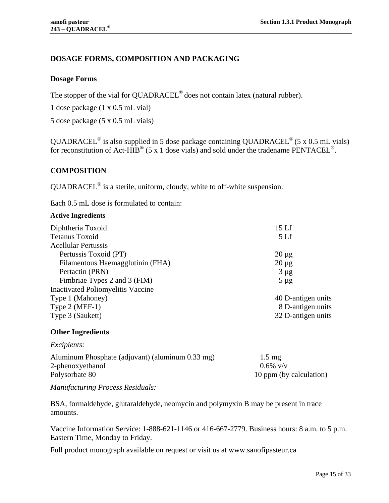# <span id="page-14-0"></span>**DOSAGE FORMS, COMPOSITION AND PACKAGING**

### <span id="page-14-1"></span>**Dosage Forms**

The stopper of the vial for QUADRACEL<sup>®</sup> does not contain latex (natural rubber).

1 dose package (1 x 0.5 mL vial)

5 dose package (5 x 0.5 mL vials)

QUADRACEL<sup>®</sup> is also supplied in 5 dose package containing QUADRACEL<sup>®</sup> (5 x 0.5 mL vials) for reconstitution of Act-HIB<sup>®</sup> (5 x 1 dose vials) and sold under the tradename PENTACEL<sup>®</sup>.

### <span id="page-14-2"></span>**COMPOSITION**

QUADRACEL® is a sterile, uniform, cloudy, white to off-white suspension.

Each 0.5 mL dose is formulated to contain:

#### **Active Ingredients**

| Diphtheria Toxoid                        | 15 <sub>Lf</sub>   |
|------------------------------------------|--------------------|
| Tetanus Toxoid                           | 5 <sub>Lf</sub>    |
| <b>Acellular Pertussis</b>               |                    |
| Pertussis Toxoid (PT)                    | $20 \mu$ g         |
| Filamentous Haemagglutinin (FHA)         | $20 \mu g$         |
| Pertactin (PRN)                          | $3 \mu g$          |
| Fimbriae Types 2 and 3 (FIM)             | $5 \mu g$          |
| <b>Inactivated Poliomyelitis Vaccine</b> |                    |
| Type 1 (Mahoney)                         | 40 D-antigen units |
| Type $2$ (MEF-1)                         | 8 D-antigen units  |
| Type 3 (Saukett)                         | 32 D-antigen units |
|                                          |                    |

### **Other Ingredients**

*Excipients:*

| 10 ppm (by calculation) |
|-------------------------|
|                         |

*Manufacturing Process Residuals:*

BSA, formaldehyde, glutaraldehyde, neomycin and polymyxin B may be present in trace amounts.

Vaccine Information Service: 1-888-621-1146 or 416-667-2779. Business hours: 8 a.m. to 5 p.m. Eastern Time, Monday to Friday.

Full product monograph available on request or visit us at www.sanofipasteur.ca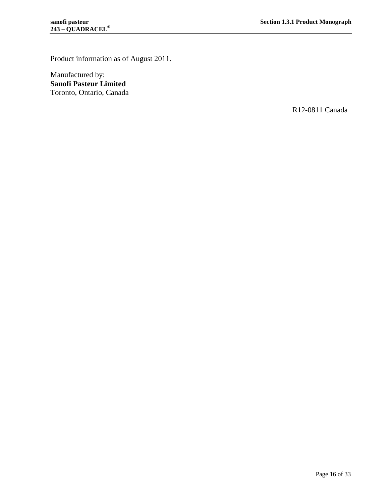Product information as of August 2011.

Manufactured by: **Sanofi Pasteur Limited** Toronto, Ontario, Canada

R12-0811 Canada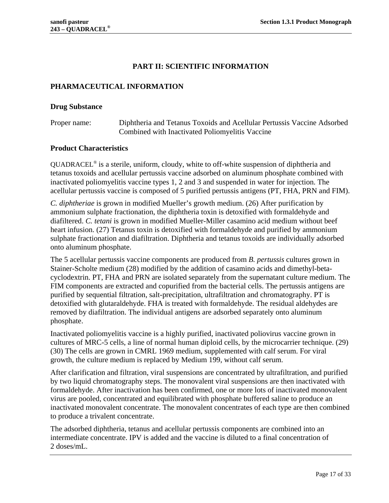# **PART II: SCIENTIFIC INFORMATION**

### <span id="page-16-1"></span><span id="page-16-0"></span>**PHARMACEUTICAL INFORMATION**

#### <span id="page-16-2"></span>**Drug Substance**

Proper name: Diphtheria and Tetanus Toxoids and Acellular Pertussis Vaccine Adsorbed Combined with Inactivated Poliomyelitis Vaccine

#### <span id="page-16-3"></span>**Product Characteristics**

 $QUADRACEL<sup>®</sup>$  is a sterile, uniform, cloudy, white to off-white suspension of diphtheria and tetanus toxoids and acellular pertussis vaccine adsorbed on aluminum phosphate combined with inactivated poliomyelitis vaccine types 1, 2 and 3 and suspended in water for injection. The acellular pertussis vaccine is composed of 5 purified pertussis antigens (PT, FHA, PRN and FIM).

*C. diphtheriae* is grown in modified Mueller's growth medium. [\(26\)](#page-28-11) After purification by ammonium sulphate fractionation, the diphtheria toxin is detoxified with formaldehyde and diafiltered. *C. tetani* is grown in modified Mueller-Miller casamino acid medium without beef heart infusion. [\(27\)](#page-28-12) Tetanus toxin is detoxified with formaldehyde and purified by ammonium sulphate fractionation and diafiltration. Diphtheria and tetanus toxoids are individually adsorbed onto aluminum phosphate.

The 5 acellular pertussis vaccine components are produced from *B. pertussis* cultures grown in Stainer-Scholte medium [\(28\)](#page-28-13) modified by the addition of casamino acids and dimethyl-betacyclodextrin. PT, FHA and PRN are isolated separately from the supernatant culture medium. The FIM components are extracted and copurified from the bacterial cells. The pertussis antigens are purified by sequential filtration, salt-precipitation, ultrafiltration and chromatography. PT is detoxified with glutaraldehyde. FHA is treated with formaldehyde. The residual aldehydes are removed by diafiltration. The individual antigens are adsorbed separately onto aluminum phosphate.

Inactivated poliomyelitis vaccine is a highly purified, inactivated poliovirus vaccine grown in cultures of MRC-5 cells, a line of normal human diploid cells, by the microcarrier technique. [\(29\)](#page-28-14) [\(30\)](#page-28-15) The cells are grown in CMRL 1969 medium, supplemented with calf serum. For viral growth, the culture medium is replaced by Medium 199, without calf serum.

After clarification and filtration, viral suspensions are concentrated by ultrafiltration, and purified by two liquid chromatography steps. The monovalent viral suspensions are then inactivated with formaldehyde. After inactivation has been confirmed, one or more lots of inactivated monovalent virus are pooled, concentrated and equilibrated with phosphate buffered saline to produce an inactivated monovalent concentrate. The monovalent concentrates of each type are then combined to produce a trivalent concentrate.

The adsorbed diphtheria, tetanus and acellular pertussis components are combined into an intermediate concentrate. IPV is added and the vaccine is diluted to a final concentration of 2 doses/mL.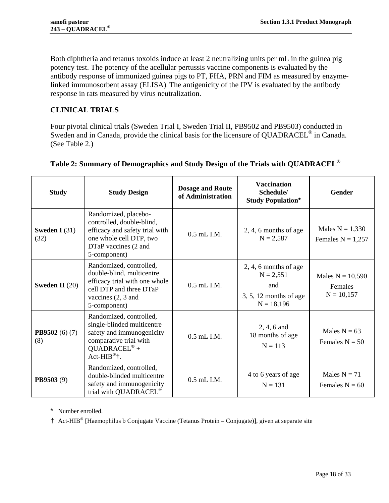Both diphtheria and tetanus toxoids induce at least 2 neutralizing units per mL in the guinea pig potency test. The potency of the acellular pertussis vaccine components is evaluated by the antibody response of immunized guinea pigs to PT, FHA, PRN and FIM as measured by enzymelinked immunosorbent assay (ELISA). The antigenicity of the IPV is evaluated by the antibody response in rats measured by virus neutralization.

# <span id="page-17-0"></span>**CLINICAL TRIALS**

Four pivotal clinical trials (Sweden Trial I, Sweden Trial II, PB9502 and PB9503) conducted in Sweden and in Canada, provide the clinical basis for the licensure of QUADRACEL<sup>®</sup> in Canada. (See [Table 2.](#page-17-1))

| <b>Study</b>                 | <b>Study Design</b>                                                                                                                                                               | <b>Dosage and Route</b><br>of Administration | <b>Vaccination</b><br>Schedule/<br><b>Study Population*</b>                               | <b>Gender</b>                                 |
|------------------------------|-----------------------------------------------------------------------------------------------------------------------------------------------------------------------------------|----------------------------------------------|-------------------------------------------------------------------------------------------|-----------------------------------------------|
| Sweden I $(31)$<br>(32)      | Randomized, placebo-<br>controlled, double-blind,<br>efficacy and safety trial with<br>one whole cell DTP, two<br>DTaP vaccines (2 and<br>5-component)                            | $0.5$ mL I.M.                                | $2, 4, 6$ months of age<br>$N = 2,587$                                                    | Males $N = 1,330$<br>Females $N = 1,257$      |
| <b>Sweden II</b> $(20)$      | Randomized, controlled,<br>double-blind, multicentre<br>efficacy trial with one whole<br>cell DTP and three DTaP<br>vaccines $(2, 3$ and<br>5-component)                          | $0.5$ mL I.M.                                | $2, 4, 6$ months of age<br>$N = 2,551$<br>and<br>$3, 5, 12$ months of age<br>$N = 18,196$ | Males $N = 10,590$<br>Females<br>$N = 10,157$ |
| <b>PB9502</b> (6) (7)<br>(8) | Randomized, controlled,<br>single-blinded multicentre<br>safety and immunogenicity<br>comparative trial with<br>$QUADRACLE^{\circledR} +$<br>$Act-HIB^{\circledR}$ <sup>†</sup> . | $0.5$ mL I.M.                                | $2, 4, 6$ and<br>18 months of age<br>$N = 113$                                            | Males $N = 63$<br>Females $N = 50$            |
| <b>PB9503</b> $(9)$          | Randomized, controlled,<br>double-blinded multicentre<br>safety and immunogenicity<br>trial with QUADRACEL <sup>®</sup>                                                           | $0.5$ mL I.M.                                | 4 to 6 years of age<br>$N = 131$                                                          | Males $N = 71$<br>Females $N = 60$            |

# <span id="page-17-2"></span><span id="page-17-1"></span>**Table 2: Summary of Demographics and Study Design of the Trials with QUADRACEL®**

\* Number enrolled.

† Act-HIB® [Haemophilus b Conjugate Vaccine (Tetanus Protein – Conjugate)], given at separate site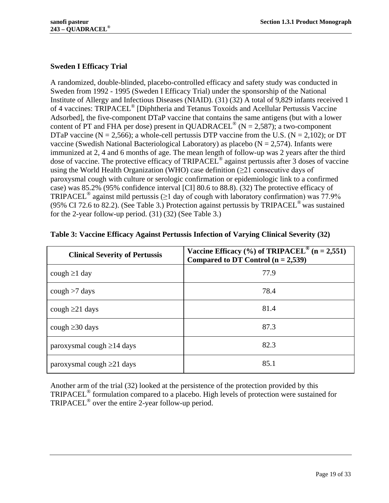# <span id="page-18-0"></span>**Sweden I Efficacy Trial**

A randomized, double-blinded, placebo-controlled efficacy and safety study was conducted in Sweden from 1992 - 1995 (Sweden I Efficacy Trial) under the sponsorship of the National Institute of Allergy and Infectious Diseases (NIAID). [\(31\)](#page-28-16) [\(32\)](#page-28-17) A total of 9,829 infants received 1 of 4 vaccines: TRIPACEL<sup>®</sup> [Diphtheria and Tetanus Toxoids and Acellular Pertussis Vaccine Adsorbed], the five-component DTaP vaccine that contains the same antigens (but with a lower content of PT and FHA per dose) present in QUADRACEL<sup>®</sup> (N = 2,587); a two-component DTaP vaccine ( $N = 2,566$ ); a whole-cell pertussis DTP vaccine from the U.S. ( $N = 2,102$ ); or DT vaccine (Swedish National Bacteriological Laboratory) as placebo ( $N = 2,574$ ). Infants were immunized at 2, 4 and 6 months of age. The mean length of follow-up was 2 years after the third dose of vaccine. The protective efficacy of TRIPACEL® against pertussis after 3 doses of vaccine using the World Health Organization (WHO) case definition  $(\geq 21)$  consecutive days of paroxysmal cough with culture or serologic confirmation or epidemiologic link to a confirmed case) was 85.2% (95% confidence interval [CI] 80.6 to 88.8). [\(32\)](#page-28-17) The protective efficacy of TRIPACEL<sup>®</sup> against mild pertussis ( $\geq$ 1 day of cough with laboratory confirmation) was 77.9% (95% CI 72.6 to 82.2). (See Table 3.) Protection against pertussis by TRIPACEL<sup>®</sup> was sustained for the 2-year follow-up period. [\(31\)](#page-28-16) [\(32\)](#page-28-17) (See Table 3.)

| <b>Clinical Severity of Pertussis</b> | Vaccine Efficacy $\frac{0}{0}$ of TRIPACEL <sup>®</sup> (n = 2,551)<br>Compared to DT Control $(n = 2,539)$ |
|---------------------------------------|-------------------------------------------------------------------------------------------------------------|
| cough $\geq 1$ day                    | 77.9                                                                                                        |
| cough $>7$ days                       | 78.4                                                                                                        |
| cough $\geq$ 21 days                  | 81.4                                                                                                        |
| cough $\geq$ 30 days                  | 87.3                                                                                                        |
| paroxysmal cough $\geq$ 14 days       | 82.3                                                                                                        |
| paroxysmal cough $\geq$ 21 days       | 85.1                                                                                                        |

|  |  | Table 3: Vaccine Efficacy Against Pertussis Infection of Varying Clinical Severity (32) |  |  |
|--|--|-----------------------------------------------------------------------------------------|--|--|
|  |  |                                                                                         |  |  |

Another arm of the trial [\(32\)](#page-28-17) looked at the persistence of the protection provided by this TRIPACEL® formulation compared to a placebo. High levels of protection were sustained for TRIPACEL® over the entire 2-year follow-up period.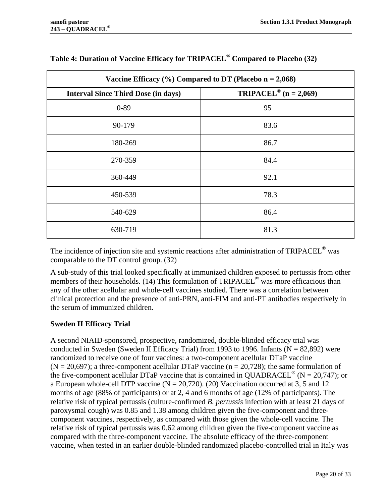| Vaccine Efficacy $(\%)$ Compared to DT (Placebo n = 2,068) |                                       |  |  |
|------------------------------------------------------------|---------------------------------------|--|--|
| <b>Interval Since Third Dose (in days)</b>                 | TRIPACEL <sup>®</sup> ( $n = 2,069$ ) |  |  |
| $0 - 89$                                                   | 95                                    |  |  |
| 90-179                                                     | 83.6                                  |  |  |
| 180-269                                                    | 86.7                                  |  |  |
| 270-359                                                    | 84.4                                  |  |  |
| 360-449                                                    | 92.1                                  |  |  |
| 450-539                                                    | 78.3                                  |  |  |
| 540-629                                                    | 86.4                                  |  |  |
| 630-719                                                    | 81.3                                  |  |  |

# **Table 4: Duration of Vaccine Efficacy for TRIPACEL® Compared to Placebo [\(32\)](#page-28-17)**

The incidence of injection site and systemic reactions after administration of TRIPACEL<sup>®</sup> was comparable to the DT control group. [\(32\)](#page-28-17)

A sub-study of this trial looked specifically at immunized children exposed to pertussis from other members of their households. [\(14\)](#page-27-14) This formulation of TRIPACEL<sup>®</sup> was more efficacious than any of the other acellular and whole-cell vaccines studied. There was a correlation between clinical protection and the presence of anti-PRN, anti-FIM and anti-PT antibodies respectively in the serum of immunized children.

### <span id="page-19-0"></span>**Sweden II Efficacy Trial**

A second NIAID-sponsored, prospective, randomized, double-blinded efficacy trial was conducted in Sweden (Sweden II Efficacy Trial) from 1993 to 1996. Infants ( $N = 82,892$ ) were randomized to receive one of four vaccines: a two-component acellular DTaP vaccine  $(N = 20,697)$ ; a three-component acellular DTaP vaccine (n = 20,728); the same formulation of the five-component acellular DTaP vaccine that is contained in QUADRACEL<sup>®</sup> (N = 20,747); or a European whole-cell DTP vaccine  $(N = 20,720)$ . [\(20\)](#page-28-5) Vaccination occurred at 3, 5 and 12 months of age (88% of participants) or at 2, 4 and 6 months of age (12% of participants). The relative risk of typical pertussis (culture-confirmed *B. pertussis* infection with at least 21 days of paroxysmal cough) was 0.85 and 1.38 among children given the five-component and threecomponent vaccines, respectively, as compared with those given the whole-cell vaccine. The relative risk of typical pertussis was 0.62 among children given the five-component vaccine as compared with the three-component vaccine. The absolute efficacy of the three-component vaccine, when tested in an earlier double-blinded randomized placebo-controlled trial in Italy was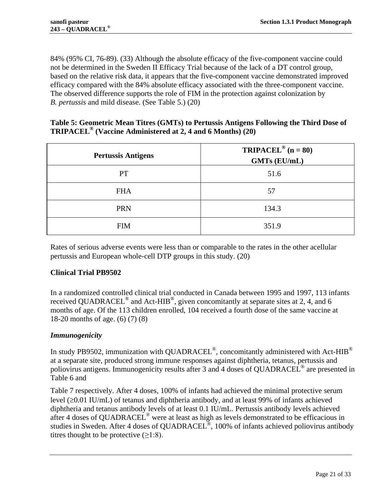84% (95% CI, 76-89). [\(33\)](#page-29-0) Although the absolute efficacy of the five-component vaccine could not be determined in the Sweden II Efficacy Trial because of the lack of a DT control group, based on the relative risk data, it appears that the five-component vaccine demonstrated improved efficacy compared with the 84% absolute efficacy associated with the three-component vaccine. The observed difference supports the role of FIM in the protection against colonization by *B. pertussis* and mild disease. (See [Table 5.](#page-20-1)) [\(20\)](#page-28-5)

### <span id="page-20-1"></span>**Table 5: Geometric Mean Titres (GMTs) to Pertussis Antigens Following the Third Dose of TRIPACEL® (Vaccine Administered at 2, 4 and 6 Months) [\(20\)](#page-28-5)**

| <b>Pertussis Antigens</b> | <b>TRIPACEL<sup>®</sup></b> ( $n = 80$ )<br><b>GMTs (EU/mL)</b> |
|---------------------------|-----------------------------------------------------------------|
| PT                        | 51.6                                                            |
| <b>FHA</b>                | 57                                                              |
| <b>PRN</b>                | 134.3                                                           |
| <b>FIM</b>                | 351.9                                                           |

Rates of serious adverse events were less than or comparable to the rates in the other acellular pertussis and European whole-cell DTP groups in this study. [\(20\)](#page-28-5)

# <span id="page-20-0"></span>**Clinical Trial PB9502**

In a randomized controlled clinical trial conducted in Canada between 1995 and 1997, 113 infants received QUADRACEL<sup>®</sup> and Act-HIB<sup>®</sup>, given concomitantly at separate sites at 2, 4, and 6 months of age. Of the 113 children enrolled, 104 received a fourth dose of the same vaccine at 18-20 months of age. [\(6\)](#page-27-6) [\(7\)](#page-27-7) [\(8\)](#page-27-8)

# *Immunogenicity*

In study PB9502, immunization with QUADRACEL®, concomitantly administered with Act-HIB® at a separate site, produced strong immune responses against diphtheria, tetanus, pertussis and poliovirus a[ntigens. Immunogenicity results after 3 and 4 doses of QUADRACEL](#page-21-1)® are presented in [Table 6](#page-21-0) and

[Table 7](#page-21-1) respectively. After 4 doses, 100% of infants had achieved the minimal protective serum level (≥0.01 IU/mL) of tetanus and diphtheria antibody, and at least 99% of infants achieved diphtheria and tetanus antibody levels of at least 0.1 IU/mL. Pertussis antibody levels achieved after 4 doses of QUADRACEL® were at least as high as levels demonstrated to be efficacious in studies in Sweden. After 4 doses of QUADRACEL<sup>®</sup>, 100% of infants achieved poliovirus antibody titres thought to be protective  $(\geq 1:8)$ .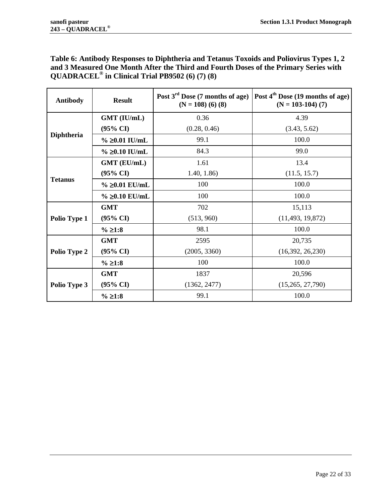<span id="page-21-0"></span>**Table 6: Antibody Responses to Diphtheria and Tetanus Toxoids and Poliovirus Types 1, 2 and 3 Measured One Month After the Third and Fourth Doses of the Primary Series with QUADRACEL® in Clinical Trial PB9502 [\(6\)](#page-27-6) [\(7\)](#page-27-7) [\(8\)](#page-27-8)**

<span id="page-21-1"></span>

| <b>Antibody</b>   | <b>Result</b>       | Post $3rd$ Dose (7 months of age)<br>$(N = 108)$ (6) (8) | Post $4th$ Dose (19 months of age)<br>$(N = 103-104)$ (7) |
|-------------------|---------------------|----------------------------------------------------------|-----------------------------------------------------------|
|                   | GMT (IU/mL)         | 0.36                                                     | 4.39                                                      |
|                   | $(95\% \text{ CI})$ | (0.28, 0.46)                                             | (3.43, 5.62)                                              |
| <b>Diphtheria</b> | % ≥0.01 IU/mL       | 99.1                                                     | 100.0                                                     |
|                   | $\%$ ≥0.10 IU/mL    | 84.3                                                     | 99.0                                                      |
|                   | <b>GMT</b> (EU/mL)  | 1.61                                                     | 13.4                                                      |
|                   | $(95\% \text{ CI})$ | 1.40, 1.86                                               | (11.5, 15.7)                                              |
| <b>Tetanus</b>    | % ≥0.01 EU/mL       | 100                                                      | 100.0                                                     |
|                   | % ≥0.10 EU/mL       | 100                                                      | 100.0                                                     |
|                   | <b>GMT</b>          | 702                                                      | 15,113                                                    |
| Polio Type 1      | $(95\% \text{ CI})$ | (513, 960)                                               | (11, 493, 19, 872)                                        |
|                   | % ≥1:8              | 98.1                                                     | 100.0                                                     |
|                   | <b>GMT</b>          | 2595                                                     | 20,735                                                    |
| Polio Type 2      | $(95\% \text{ CI})$ | (2005, 3360)                                             | (16,392, 26,230)                                          |
|                   | % ≥1:8              | 100                                                      | 100.0                                                     |
| Polio Type 3      | <b>GMT</b>          | 1837                                                     | 20,596                                                    |
|                   | $(95\% \text{ CI})$ | (1362, 2477)                                             | (15,265, 27,790)                                          |
|                   | % ≥1:8              | 99.1                                                     | 100.0                                                     |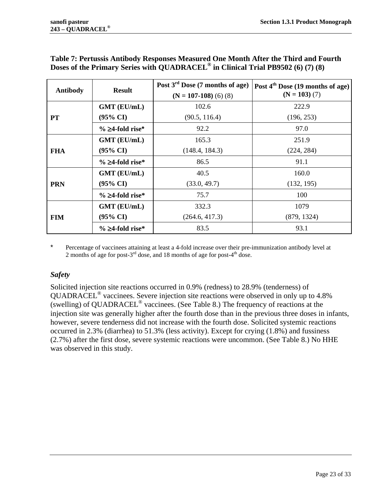<span id="page-22-0"></span>

| <b>Antibody</b> | <b>Result</b>       | Post $3rd$ Dose (7 months of age)<br>$(N = 107-108)$ (6) (8) | Post $4th$ Dose (19 months of age)<br>$(N = 103)$ (7) |
|-----------------|---------------------|--------------------------------------------------------------|-------------------------------------------------------|
|                 | <b>GMT</b> (EU/mL)  | 102.6                                                        | 222.9                                                 |
| PT              | $(95\% \text{ CI})$ | (90.5, 116.4)                                                | (196, 253)                                            |
|                 | % ≥4-fold rise*     | 92.2                                                         | 97.0                                                  |
|                 | <b>GMT</b> (EU/mL)  | 165.3                                                        | 251.9                                                 |
| <b>FHA</b>      | $(95\% \text{ CI})$ | (148.4, 184.3)                                               | (224, 284)                                            |
|                 | % ≥4-fold rise*     | 86.5                                                         | 91.1                                                  |
|                 | <b>GMT</b> (EU/mL)  | 40.5                                                         | 160.0                                                 |
| <b>PRN</b>      | $(95\% \text{ CI})$ | (33.0, 49.7)                                                 | (132, 195)                                            |
|                 | % ≥4-fold rise*     | 75.7                                                         | 100                                                   |
| <b>FIM</b>      | <b>GMT</b> (EU/mL)  | 332.3                                                        | 1079                                                  |
|                 | $(95\% \text{ CI})$ | (264.6, 417.3)                                               | (879, 1324)                                           |
|                 | % ≥4-fold rise*     | 83.5                                                         | 93.1                                                  |

# **Table 7: Pertussis Antibody Responses Measured One Month After the Third and Fourth Doses of the Primary Series with QUADRACEL® in Clinical Trial PB9502 [\(6\)](#page-27-6) [\(7\)](#page-27-7) [\(8\)](#page-27-8)**

\* Percentage of vaccinees attaining at least a 4-fold increase over their pre-immunization antibody level at 2 months of age for post- $3<sup>rd</sup>$  dose, and 18 months of age for post- $4<sup>th</sup>$  dose.

# *Safety*

Solicited injection site reactions occurred in 0.9% (redness) to 28.9% (tenderness) of QUADRACEL® vaccinees. Severe injection site reactions were observed in only up to 4.8% (swelling) of QUADRACEL® vaccinees. (See [Table 8.](#page-23-0)) The frequency of reactions at the injection site was generally higher after the fourth dose than in the previous three doses in infants, however, severe tenderness did not increase with the fourth dose. Solicited systemic reactions occurred in 2.3% (diarrhea) to 51.3% (less activity). Except for crying (1.8%) and fussiness (2.7%) after the first dose, severe systemic reactions were uncommon. (See [Table 8.](#page-23-0)) No HHE was observed in this study.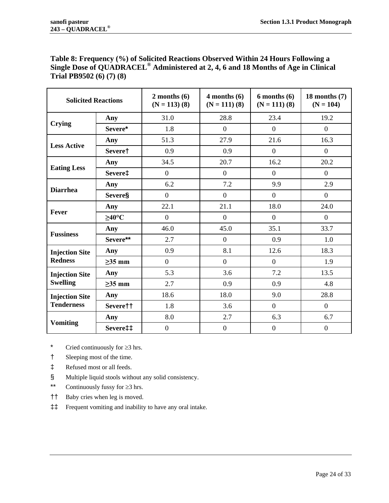<span id="page-23-0"></span>

| Table 8: Frequency (%) of Solicited Reactions Observed Within 24 Hours Following a             |
|------------------------------------------------------------------------------------------------|
| Single Dose of QUADRACEL <sup>®</sup> Administered at 2, 4, 6 and 18 Months of Age in Clinical |
| Trial PB9502 $(6)$ $(7)$ $(8)$                                                                 |

| <b>Solicited Reactions</b>                 |                      | $2$ months $(6)$<br>$(N = 113)$ (8) | $4$ months $(6)$<br>$(N = 111)$ (8) | $6$ months $(6)$<br>$(N = 111)$ (8) | 18 months $(7)$<br>$(N = 104)$ |
|--------------------------------------------|----------------------|-------------------------------------|-------------------------------------|-------------------------------------|--------------------------------|
| <b>Crying</b>                              | Any                  | 31.0                                | 28.8                                | 23.4                                | 19.2                           |
|                                            | Severe*              | 1.8                                 | $\overline{0}$                      | $\overline{0}$                      | $\overline{0}$                 |
| <b>Less Active</b>                         | Any                  | 51.3                                | 27.9                                | 21.6                                | 16.3                           |
|                                            | Severe†              | 0.9                                 | 0.9                                 | $\overline{0}$                      | $\overline{0}$                 |
| <b>Eating Less</b>                         | Any                  | 34.5                                | 20.7                                | 16.2                                | 20.2                           |
|                                            | Severe‡              | $\boldsymbol{0}$                    | $\boldsymbol{0}$                    | $\overline{0}$                      | $\mathbf{0}$                   |
| <b>Diarrhea</b>                            | Any                  | 6.2                                 | 7.2                                 | 9.9                                 | 2.9                            |
|                                            | <b>Severe</b> §      | $\overline{0}$                      | $\overline{0}$                      | $\overline{0}$                      | $\overline{0}$                 |
| Fever                                      | Any                  | 22.1                                | 21.1                                | 18.0                                | 24.0                           |
|                                            | $\geq$ 40°C          | $\overline{0}$                      | $\boldsymbol{0}$                    | $\overline{0}$                      | $\mathbf{0}$                   |
| <b>Fussiness</b>                           | Any                  | 46.0                                | 45.0                                | 35.1                                | 33.7                           |
|                                            | Severe**             | 2.7                                 | $\overline{0}$                      | 0.9                                 | 1.0                            |
| <b>Injection Site</b><br><b>Redness</b>    | Any                  | 0.9                                 | 8.1                                 | 12.6                                | 18.3                           |
|                                            | $\geq$ 35 mm         | $\boldsymbol{0}$                    | $\overline{0}$                      | $\overline{0}$                      | 1.9                            |
| <b>Injection Site</b><br><b>Swelling</b>   | Any                  | 5.3                                 | 3.6                                 | 7.2                                 | 13.5                           |
|                                            | $\geq$ 35 mm         | 2.7                                 | 0.9                                 | 0.9                                 | 4.8                            |
| <b>Injection Site</b><br><b>Tenderness</b> | Any                  | 18.6                                | 18.0                                | 9.0                                 | 28.8                           |
|                                            | Severe <sup>††</sup> | 1.8                                 | 3.6                                 | $\overline{0}$                      | $\overline{0}$                 |
| <b>Vomiting</b>                            | Any                  | 8.0                                 | 2.7                                 | 6.3                                 | 6.7                            |
|                                            | Severe‡‡             | $\boldsymbol{0}$                    | $\boldsymbol{0}$                    | $\boldsymbol{0}$                    | $\boldsymbol{0}$               |

\* Cried continuously for ≥3 hrs.

- † Sleeping most of the time.
- ‡ Refused most or all feeds.
- § Multiple liquid stools without any solid consistency.
- \*\* Continuously fussy for ≥3 hrs.
- †† Baby cries when leg is moved.
- ‡‡ Frequent vomiting and inability to have any oral intake.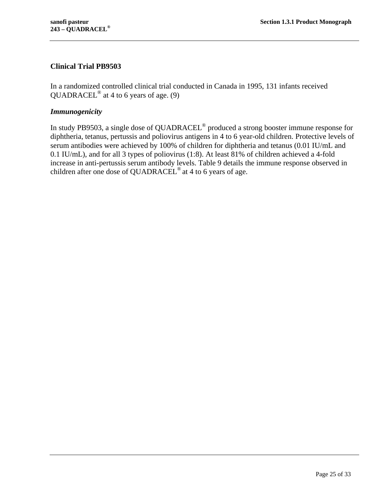### <span id="page-24-0"></span>**Clinical Trial PB9503**

In a randomized controlled clinical trial conducted in Canada in 1995, 131 infants received QUADRACEL<sup>®</sup> at 4 to 6 years of age.  $(9)$ 

#### *Immunogenicity*

In study PB9503, a single dose of QUADRACEL® produced a strong booster immune response for diphtheria, tetanus, pertussis and poliovirus antigens in 4 to 6 year-old children. Protective levels of serum antibodies were achieved by 100% of children for diphtheria and tetanus (0.01 IU/mL and 0.1 IU/mL), and for all 3 types of poliovirus (1:8). At least 81% of children achieved a 4-fold increase in anti-pertussis serum antibody levels. [Table 9](#page-25-0) details the immune response observed in children after one dose of QUADRACEL<sup>®</sup> at 4 to 6 years of age.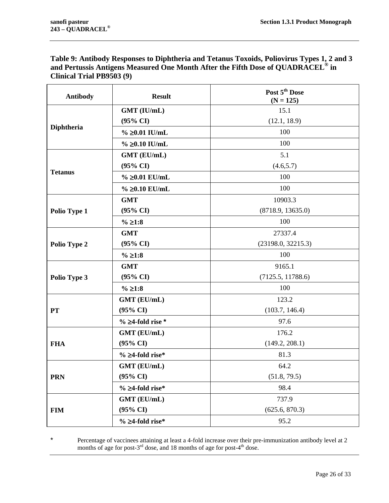<span id="page-25-0"></span>**Table 9: Antibody Responses to Diphtheria and Tetanus Toxoids, Poliovirus Types 1, 2 and 3 and Pertussis Antigens Measured One Month After the Fifth Dose of QUADRACEL® in Clinical Trial PB9503 [\(9\)](#page-27-9)**

| <b>Antibody</b> | <b>Result</b>          | Post 5 <sup>th</sup> Dose<br>$(N = 125)$ |  |
|-----------------|------------------------|------------------------------------------|--|
|                 | GMT (IU/mL)            | 15.1                                     |  |
| Diphtheria      | $(95\% \text{ CI})$    | (12.1, 18.9)                             |  |
|                 | % ≥0.01 IU/mL          | 100                                      |  |
|                 | $\%$ $\geq 0.10$ IU/mL | 100                                      |  |
|                 | GMT (EU/mL)            | 5.1                                      |  |
|                 | $(95\% \text{ CI})$    | (4.6, 5.7)                               |  |
| <b>Tetanus</b>  | $\% \geq 0.01$ EU/mL   | 100                                      |  |
|                 | % ≥0.10 EU/mL          | 100                                      |  |
|                 | <b>GMT</b>             | 10903.3                                  |  |
| Polio Type 1    | $(95\% \text{ CI})$    | (8718.9, 13635.0)                        |  |
|                 | % ≥1:8                 | 100                                      |  |
|                 | <b>GMT</b>             | 27337.4                                  |  |
| Polio Type 2    | $(95\% \text{ CI})$    | (23198.0, 32215.3)                       |  |
|                 | % ≥1:8                 | 100                                      |  |
|                 | <b>GMT</b>             | 9165.1                                   |  |
| Polio Type 3    | $(95\% \text{ CI})$    | (7125.5, 11788.6)                        |  |
|                 | % ≥1:8                 | 100                                      |  |
|                 | GMT (EU/mL)            | 123.2                                    |  |
| <b>PT</b>       | $(95\% \text{ CI})$    | (103.7, 146.4)                           |  |
|                 | $\%$ 24-fold rise *    | 97.6                                     |  |
|                 | GMT (EU/mL)            | 176.2                                    |  |
| <b>FHA</b>      | $(95\% \text{ CI})$    | (149.2, 208.1)                           |  |
|                 | % ≥4-fold rise*        | 81.3                                     |  |
|                 | GMT (EU/mL)            | 64.2                                     |  |
| <b>PRN</b>      | $(95\% \text{ CI})$    | (51.8, 79.5)                             |  |
|                 | % ≥4-fold rise*        | 98.4                                     |  |
|                 | GMT (EU/mL)            | 737.9                                    |  |
| <b>FIM</b>      | (95% CI)               | (625.6, 870.3)                           |  |
|                 | % ≥4-fold rise*        | 95.2                                     |  |

\* Percentage of vaccinees attaining at least a 4-fold increase over their pre-immunization antibody level at 2 months of age for post- $3^{rd}$  dose, and 18 months of age for post-4<sup>th</sup> dose.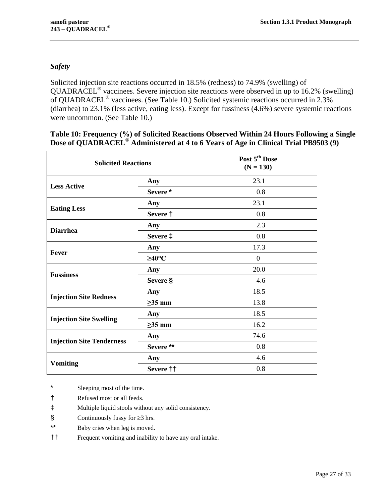# *Safety*

Solicited injection site reactions occurred in 18.5% (redness) to 74.9% (swelling) of QUADRACEL® vaccinees. Severe injection site reactions were observed in up to 16.2% (swelling) of QUADRACEL® vaccinees. (See [Table 10.](#page-26-0)) Solicited systemic reactions occurred in 2.3% (diarrhea) to 23.1% (less active, eating less). Except for fussiness (4.6%) severe systemic reactions were uncommon. (See [Table 10.](#page-26-0))

### <span id="page-26-0"></span>**Table 10: Frequency (%) of Solicited Reactions Observed Within 24 Hours Following a Single Dose of QUADRACEL® Administered at 4 to 6 Years of Age in Clinical Trial PB9503 [\(9\)](#page-27-9)**

| <b>Solicited Reactions</b>       |                   | Post 5 <sup>th</sup> Dose<br>$(N = 130)$ |
|----------------------------------|-------------------|------------------------------------------|
|                                  | Any               | 23.1                                     |
| <b>Less Active</b>               | Severe*           | 0.8                                      |
| <b>Eating Less</b>               | Any               | 23.1                                     |
|                                  | Severe †          | 0.8                                      |
| <b>Diarrhea</b>                  | Any               | 2.3                                      |
|                                  | Severe $\ddagger$ | 0.8                                      |
| <b>Fever</b>                     | Any               | 17.3                                     |
|                                  | $\geq$ 40°C       | $\boldsymbol{0}$                         |
| <b>Fussiness</b>                 | Any               | 20.0                                     |
|                                  | Severe §          | 4.6                                      |
| <b>Injection Site Redness</b>    | Any               | 18.5                                     |
|                                  | $\geq$ 35 mm      | 13.8                                     |
| <b>Injection Site Swelling</b>   | Any               | 18.5                                     |
|                                  | $\geq$ 35 mm      | 16.2                                     |
|                                  | Any               | 74.6                                     |
| <b>Injection Site Tenderness</b> | Severe**          | 0.8                                      |
|                                  | Any               | 4.6                                      |
| <b>Vomiting</b>                  | Severe ††         | 0.8                                      |

\* Sleeping most of the time.

- † Refused most or all feeds.
- ‡ Multiple liquid stools without any solid consistency.
- § Continuously fussy for ≥3 hrs.
- \*\* Baby cries when leg is moved.
- †† Frequent vomiting and inability to have any oral intake.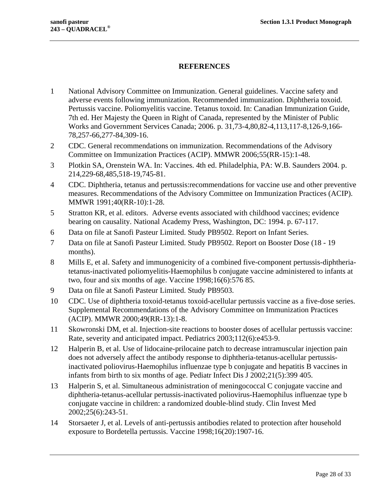### <span id="page-27-0"></span>**REFERENCES**

- <span id="page-27-1"></span>1 National Advisory Committee on Immunization. General guidelines. Vaccine safety and adverse events following immunization. Recommended immunization. Diphtheria toxoid. Pertussis vaccine. Poliomyelitis vaccine. Tetanus toxoid. In: Canadian Immunization Guide, 7th ed. Her Majesty the Queen in Right of Canada, represented by the Minister of Public Works and Government Services Canada; 2006. p. 31,73-4,80,82-4,113,117-8,126-9,166- 78,257-66,277-84,309-16.
- <span id="page-27-2"></span>2 CDC. General recommendations on immunization. Recommendations of the Advisory Committee on Immunization Practices (ACIP). MMWR 2006;55(RR-15):1-48.
- <span id="page-27-3"></span>3 Plotkin SA, Orenstein WA. In: Vaccines. 4th ed. Philadelphia, PA: W.B. Saunders 2004. p. 214,229-68,485,518-19,745-81.
- <span id="page-27-4"></span>4 CDC. Diphtheria, tetanus and pertussis:recommendations for vaccine use and other preventive measures. Recommendations of the Advisory Committee on Immunization Practices (ACIP). MMWR 1991;40(RR-10):1-28.
- <span id="page-27-5"></span>5 Stratton KR, et al. editors. Adverse events associated with childhood vaccines; evidence bearing on causality. National Academy Press, Washington, DC: 1994. p. 67-117.
- <span id="page-27-6"></span>6 Data on file at Sanofi Pasteur Limited. Study PB9502. Report on Infant Series.
- <span id="page-27-7"></span>7 Data on file at Sanofi Pasteur Limited. Study PB9502. Report on Booster Dose (18 - 19 months).
- <span id="page-27-8"></span>8 Mills E, et al. Safety and immunogenicity of a combined five-component pertussis-diphtheriatetanus-inactivated poliomyelitis-Haemophilus b conjugate vaccine administered to infants at two, four and six months of age. Vaccine 1998;16(6):576 85.
- <span id="page-27-9"></span>9 Data on file at Sanofi Pasteur Limited. Study PB9503.
- <span id="page-27-10"></span>10 CDC. Use of diphtheria toxoid-tetanus toxoid-acellular pertussis vaccine as a five-dose series. Supplemental Recommendations of the Advisory Committee on Immunization Practices (ACIP). MMWR 2000;49(RR-13):1-8.
- <span id="page-27-11"></span>11 Skowronski DM, et al. Injection-site reactions to booster doses of acellular pertussis vaccine: Rate, severity and anticipated impact. Pediatrics 2003;112(6):e453-9.
- <span id="page-27-12"></span>12 Halperin B, et al. Use of lidocaine-prilocaine patch to decrease intramuscular injection pain does not adversely affect the antibody response to diphtheria-tetanus-acellular pertussisinactivated poliovirus-Haemophilus influenzae type b conjugate and hepatitis B vaccines in infants from birth to six months of age. Pediatr Infect Dis J 2002;21(5):399 405.
- <span id="page-27-13"></span>13 Halperin S, et al. Simultaneous administration of meningococcal C conjugate vaccine and diphtheria-tetanus-acellular pertussis-inactivated poliovirus-Haemophilus influenzae type b conjugate vaccine in children: a randomized double-blind study. Clin Invest Med 2002;25(6):243-51.
- <span id="page-27-14"></span>14 Storsaeter J, et al. Levels of anti-pertussis antibodies related to protection after household exposure to Bordetella pertussis. Vaccine 1998;16(20):1907-16.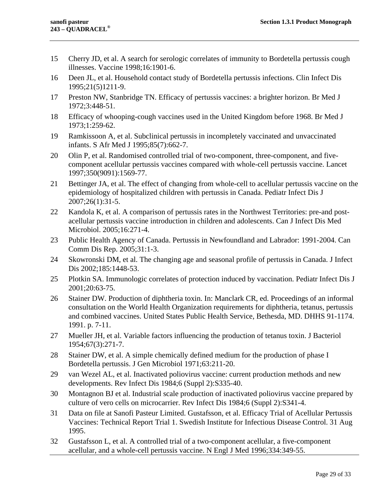- <span id="page-28-0"></span>15 Cherry JD, et al. A search for serologic correlates of immunity to Bordetella pertussis cough illnesses. Vaccine 1998;16:1901-6.
- <span id="page-28-1"></span>16 Deen JL, et al. Household contact study of Bordetella pertussis infections. Clin Infect Dis 1995;21(5)1211-9.
- <span id="page-28-2"></span>17 Preston NW, Stanbridge TN. Efficacy of pertussis vaccines: a brighter horizon. Br Med J 1972;3:448-51.
- <span id="page-28-3"></span>18 Efficacy of whooping-cough vaccines used in the United Kingdom before 1968. Br Med J 1973;1:259-62.
- <span id="page-28-4"></span>19 Ramkissoon A, et al. Subclinical pertussis in incompletely vaccinated and unvaccinated infants. S Afr Med J 1995;85(7):662-7.
- <span id="page-28-5"></span>20 Olin P, et al. Randomised controlled trial of two-component, three-component, and fivecomponent acellular pertussis vaccines compared with whole-cell pertussis vaccine. Lancet 1997;350(9091):1569-77.
- <span id="page-28-6"></span>21 Bettinger JA, et al. The effect of changing from whole-cell to acellular pertussis vaccine on the epidemiology of hospitalized children with pertussis in Canada. Pediatr Infect Dis J 2007;26(1):31-5.
- <span id="page-28-7"></span>22 Kandola K, et al. A comparison of pertussis rates in the Northwest Territories: pre-and postacellular pertussis vaccine introduction in children and adolescents. Can J Infect Dis Med Microbiol. 2005;16:271-4.
- <span id="page-28-8"></span>23 Public Health Agency of Canada. Pertussis in Newfoundland and Labrador: 1991-2004. Can Comm Dis Rep. 2005;31:1-3.
- <span id="page-28-9"></span>24 Skowronski DM, et al. The changing age and seasonal profile of pertussis in Canada. J Infect Dis 2002;185:1448-53.
- <span id="page-28-10"></span>25 Plotkin SA. Immunologic correlates of protection induced by vaccination. Pediatr Infect Dis J 2001;20:63-75.
- <span id="page-28-11"></span>26 Stainer DW. Production of diphtheria toxin. In: Manclark CR, ed. Proceedings of an informal consultation on the World Health Organization requirements for diphtheria, tetanus, pertussis and combined vaccines. United States Public Health Service, Bethesda, MD. DHHS 91-1174. 1991. p. 7-11.
- <span id="page-28-12"></span>27 Mueller JH, et al. Variable factors influencing the production of tetanus toxin. J Bacteriol 1954;67(3):271-7.
- <span id="page-28-13"></span>28 Stainer DW, et al. A simple chemically defined medium for the production of phase I Bordetella pertussis. J Gen Microbiol 1971;63:211-20.
- <span id="page-28-14"></span>29 van Wezel AL, et al. Inactivated poliovirus vaccine: current production methods and new developments. Rev Infect Dis 1984;6 (Suppl 2):S335-40.
- <span id="page-28-15"></span>30 Montagnon BJ et al. Industrial scale production of inactivated poliovirus vaccine prepared by culture of vero cells on microcarrier. Rev Infect Dis 1984;6 (Suppl 2):S341-4.
- <span id="page-28-16"></span>31 Data on file at Sanofi Pasteur Limited. Gustafsson, et al. Efficacy Trial of Acellular Pertussis Vaccines: Technical Report Trial 1. Swedish Institute for Infectious Disease Control. 31 Aug 1995.
- <span id="page-28-17"></span>32 Gustafsson L, et al. A controlled trial of a two-component acellular, a five-component acellular, and a whole-cell pertussis vaccine. N Engl J Med 1996;334:349-55.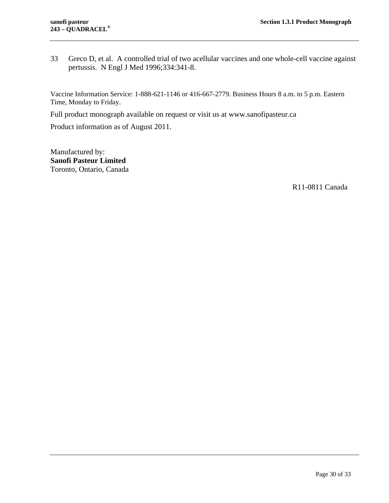<span id="page-29-0"></span>33 Greco D, et al. A controlled trial of two acellular vaccines and one whole-cell vaccine against pertussis. N Engl J Med 1996;334:341-8.

Vaccine Information Service: 1-888-621-1146 or 416-667-2779. Business Hours 8 a.m. to 5 p.m. Eastern Time, Monday to Friday.

Full product monograph available on request or visit us at www.sanofipasteur.ca

Product information as of August 2011.

Manufactured by: **Sanofi Pasteur Limited** Toronto, Ontario, Canada

R11-0811 Canada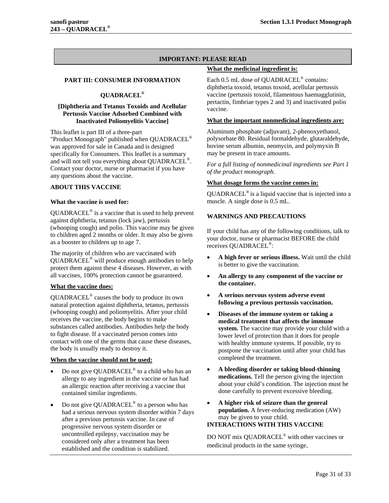#### **IMPORTANT: PLEASE READ**

#### <span id="page-30-0"></span>**PART III: CONSUMER INFORMATION**

#### **QUADRACEL®**

#### **[Diphtheria and Tetanus Toxoids and Acellular Pertussis Vaccine Adsorbed Combined with Inactivated Poliomyelitis Vaccine]**

This leaflet is part III of a three-part "Product Monograph" published when QUADRACEL® was approved for sale in Canada and is designed specifically for Consumers. This leaflet is a summary and will not tell you everything about QUADRACEL®. Contact your doctor, nurse or pharmacist if you have any questions about the vaccine.

#### <span id="page-30-1"></span>**ABOUT THIS VACCINE**

#### **What the vaccine is used for:**

 $QUADRACEL<sup>®</sup>$  is a vaccine that is used to help prevent against diphtheria, tetanus (lock jaw), pertussis (whooping cough) and polio. This vaccine may be given to children aged 2 months or older. It may also be given as a booster to children up to age 7.

The majority of children who are vaccinated with QUADRACEL® will produce enough antibodies to help protect them against these 4 diseases. However, as with all vaccines, 100% protection cannot be guaranteed.

#### **What the vaccine does:**

QUADRACEL® causes the body to produce its own natural protection against diphtheria, tetanus, pertussis (whooping cough) and poliomyelitis. After your child receives the vaccine, the body begins to make substances called antibodies. Antibodies help the body to fight disease. If a vaccinated person comes into contact with one of the germs that cause these diseases, the body is usually ready to destroy it.

#### **When the vaccine should not be used:**

- Do not give QUADRACEL® to a child who has an allergy to any ingredient in the vaccine or has had an allergic reaction after receiving a vaccine that contained similar ingredients.
- Do not give QUADRACEL® to a person who has had a serious nervous system disorder within 7 days after a previous pertussis vaccine. In case of progressive nervous system disorder or uncontrolled epilepsy, vaccination may be considered only after a treatment has been established and the condition is stabilized.

#### **What the medicinal ingredient is:**

Each 0.5 mL dose of QUADRACEL® contains: diphtheria toxoid, tetanus toxoid, acellular pertussis vaccine (pertussis toxoid, filamentous haemagglutinin, pertactin, fimbriae types 2 and 3) and inactivated polio vaccine.

#### **What the important nonmedicinal ingredients are:**

Aluminum phosphate (adjuvant), 2-phenoxyethanol, polysorbate 80. Residual formaldehyde, glutaraldehyde, bovine serum albumin, neomycin, and polymyxin B may be present in trace amounts.

*For a full listing of nonmedicinal ingredients see Part 1 of the product monograph.*

#### **What dosage forms the vaccine comes in:**

QUADRACEL® is a liquid vaccine that is injected into a muscle. A single dose is 0.5 mL.

#### <span id="page-30-2"></span>**WARNINGS AND PRECAUTIONS**

If your child has any of the following conditions, talk to your doctor, nurse or pharmacist BEFORE the child receives QUADRACEL®:

- **A high fever or serious illness.** Wait until the child is better to give the vaccination.
- **An allergy to any component of the vaccine or the container.**
- **A serious nervous system adverse event following a previous pertussis vaccination.**
- **Diseases of the immune system or taking a medical treatment that affects the immune system.** The vaccine may provide your child with a lower level of protection than it does for people with healthy immune systems. If possible, try to postpone the vaccination until after your child has completed the treatment.
- **A bleeding disorder or taking blood-thinning medications.** Tell the person giving the injection about your child's condition. The injection must be done carefully to prevent excessive bleeding.
- **A higher risk of seizure than the general population.** A fever-reducing medication (AW) may be given to your child. **INTERACTIONS WITH THIS VACCINE**

<span id="page-30-3"></span>DO NOT mix QUADRACEL® with other vaccines or medicinal products in the same syringe.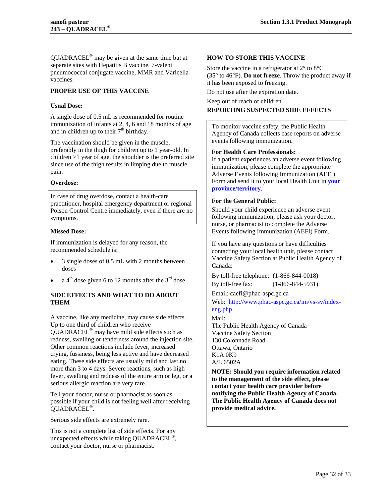QUADRACEL® may be given at the same time but at separate sites with Hepatitis B vaccine, 7-valent pneumococcal conjugate vaccine, MMR and Varicella vaccines.

#### <span id="page-31-0"></span>**PROPER USE OF THIS VACCINE**

#### **Usual Dose:**

A single dose of 0.5 mL is recommended for routine immunization of infants at 2, 4, 6 and 18 months of age and in children up to their  $7<sup>th</sup>$  birthday.

The vaccination should be given in the muscle, preferably in the thigh for children up to 1 year-old. In children >1 year of age, the shoulder is the preferred site since use of the thigh results in limping due to muscle pain.

#### **Overdose:**

In case of drug overdose, contact a health-care practitioner, hospital emergency department or regional Poison Control Centre immediately, even if there are no symptoms.

#### **Missed Dose:**

If immunization is delayed for any reason, the recommended schedule is:

- 3 single doses of 0.5 mL with 2 months between doses
- <span id="page-31-1"></span>a  $4<sup>th</sup>$  dose given 6 to 12 months after the  $3<sup>rd</sup>$  dose

#### **SIDE EFFECTS AND WHAT TO DO ABOUT THEM**

A vaccine, like any medicine, may cause side effects. Up to one third of children who receive QUADRACEL® may have mild side effects such as redness, swelling or tenderness around the injection site. Other common reactions include fever, increased crying, fussiness, being less active and have decreased eating. These side effects are usually mild and last no more than 3 to 4 days. Severe reactions, such as high fever, swelling and redness of the entire arm or leg, or a serious allergic reaction are very rare.

Tell your doctor, nurse or pharmacist as soon as possible if your child is not feeling well after receiving QUADRACEL®.

Serious side effects are extremely rare.

This is not a complete list of side effects. For any unexpected effects while taking QUADRACEL®, contact your doctor, nurse or pharmacist.

#### <span id="page-31-2"></span>**HOW TO STORE THIS VACCINE**

Store the vaccine in a refrigerator at 2° to 8°C (35° to 46°F). **Do not freeze**. Throw the product away if it has been exposed to freezing.

Do not use after the expiration date.

Keep out of reach of children.

#### <span id="page-31-3"></span>**REPORTING SUSPECTED SIDE EFFECTS**

To monitor vaccine safety, the Public Health Agency of Canada collects case reports on adverse events following immunization.

#### **For Health Care Professionals:**

If a patient experiences an adverse event following immunization, please complete the appropriate Adverse Events following Immunization (AEFI) Form and send it to your local Health Unit in **[your](http://www.phac-aspc.gc.ca/im/ci-rp-eng.php)  [province/territory](http://www.phac-aspc.gc.ca/im/ci-rp-eng.php)**.

#### **For the General Public:**

Should your child experience an adverse event following immunization, please ask your doctor, nurse, or pharmacist to complete the Adverse Events following Immunization (AEFI) Form.

If you have any questions or have difficulties contacting your local health unit, please contact Vaccine Safety Section at Public Health Agency of Canada:

By toll-free telephone: (1-866-844-0018)

By toll-free fax: (1-866-844-5931)

Email: caefi@phac-aspc.gc.ca

Web: [http://www.phac-aspc.gc.ca/im/vs-sv/index](http://www.phac-aspc.gc.ca/im/vs-sv/index-eng.php__)[eng.php](http://www.phac-aspc.gc.ca/im/vs-sv/index-eng.php__)

Mail:

The Public Health Agency of Canada Vaccine Safety Section 130 Colonnade Road Ottawa, Ontario K1A 0K9 A/L 6502A

**NOTE: Should you require information related to the management of the side effect, please contact your health care provider before notifying the Public Health Agency of Canada. The Public Health Agency of Canada does not provide medical advice.**